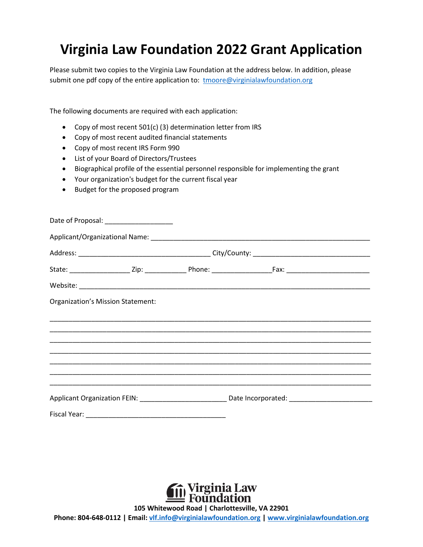# **Virginia Law Foundation 2022 Grant Application**

Please submit two copies to the Virginia Law Foundation at the address below. In addition, please submit one pdf copy of the entire application to: [tmoore@virginialawfoundation.org](mailto:tmoore@virginialawfoundation.org)

The following documents are required with each application:

- Copy of most recent 501(c) (3) determination letter from IRS
- Copy of most recent audited financial statements
- Copy of most recent IRS Form 990
- List of your Board of Directors/Trustees
- Biographical profile of the essential personnel responsible for implementing the grant
- Your organization's budget for the current fiscal year
- Budget for the proposed program

|                                   | Date of Proposal: _____________________ |                                                                                                                                                                                               |  |
|-----------------------------------|-----------------------------------------|-----------------------------------------------------------------------------------------------------------------------------------------------------------------------------------------------|--|
|                                   |                                         |                                                                                                                                                                                               |  |
|                                   |                                         |                                                                                                                                                                                               |  |
|                                   |                                         |                                                                                                                                                                                               |  |
|                                   |                                         |                                                                                                                                                                                               |  |
| Organization's Mission Statement: |                                         |                                                                                                                                                                                               |  |
|                                   |                                         |                                                                                                                                                                                               |  |
|                                   |                                         |                                                                                                                                                                                               |  |
|                                   |                                         |                                                                                                                                                                                               |  |
|                                   |                                         | ,我们也不能会在这里,我们也不能会在这里,我们也不能会在这里,我们也不能会在这里,我们也不能会在这里,我们也不能会在这里,我们也不能会不能会不能会。""我们,我                                                                                                              |  |
|                                   |                                         |                                                                                                                                                                                               |  |
|                                   |                                         | <u>,这就是一个人的人,我们就是一个人,我们就是一个人,我们就是一个人,我们就是一个人,我们就是一个人,我们就是一个人,我们就是一个人,我们就是一个人,我们就是</u><br>Applicant Organization FEIN: ____________________________Date Incorporated: ________________________ |  |
|                                   |                                         |                                                                                                                                                                                               |  |



**105 Whitewood Road | Charlottesville, VA 22901**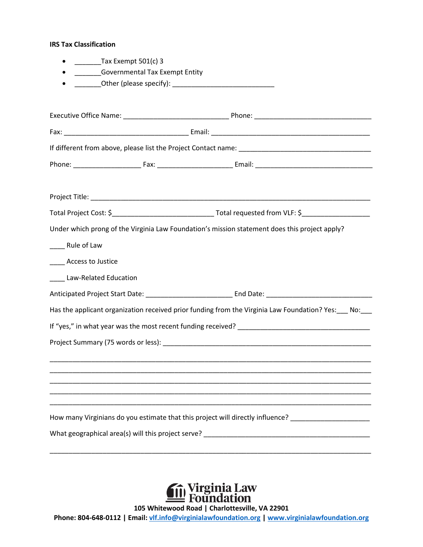#### **IRS Tax Classification**

- \_\_\_\_\_\_\_\_\_\_Tax Exempt 501(c) 3
- \_\_\_\_\_\_\_Governmental Tax Exempt Entity
- \_\_\_\_\_\_\_Other (please specify): \_\_\_\_\_\_\_\_\_\_\_\_\_\_\_\_\_\_\_\_\_\_\_\_\_\_\_

|                            | Under which prong of the Virginia Law Foundation's mission statement does this project apply?                                                    |
|----------------------------|--------------------------------------------------------------------------------------------------------------------------------------------------|
| _____ Rule of Law          |                                                                                                                                                  |
| _____ Access to Justice    |                                                                                                                                                  |
| ____ Law-Related Education |                                                                                                                                                  |
|                            |                                                                                                                                                  |
|                            | Has the applicant organization received prior funding from the Virginia Law Foundation? Yes: ___ No: ___                                         |
|                            |                                                                                                                                                  |
|                            |                                                                                                                                                  |
|                            | <u> 1989 - Johann Stoff, amerikansk politiker (d. 1989)</u><br>,我们也不能会有什么。""我们的人,我们也不能会有什么?""我们的人,我们也不能会有什么?""我们的人,我们也不能会有什么?""我们的人,我们也不能会有什么?"" |
|                            |                                                                                                                                                  |
|                            | How many Virginians do you estimate that this project will directly influence? _____________________                                             |
|                            |                                                                                                                                                  |
|                            |                                                                                                                                                  |



**105 Whitewood Road | Charlottesville, VA 22901**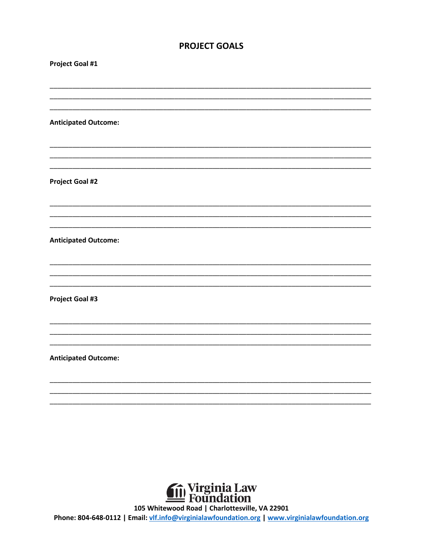## **PROJECT GOALS**

| <b>Project Goal #1</b>      |  |
|-----------------------------|--|
|                             |  |
|                             |  |
| <b>Anticipated Outcome:</b> |  |
|                             |  |
|                             |  |
| <b>Project Goal #2</b>      |  |
|                             |  |
|                             |  |
| <b>Anticipated Outcome:</b> |  |
|                             |  |
|                             |  |
| <b>Project Goal #3</b>      |  |
|                             |  |
|                             |  |
| <b>Anticipated Outcome:</b> |  |
|                             |  |
|                             |  |
|                             |  |
|                             |  |



105 Whitewood Road | Charlottesville, VA 22901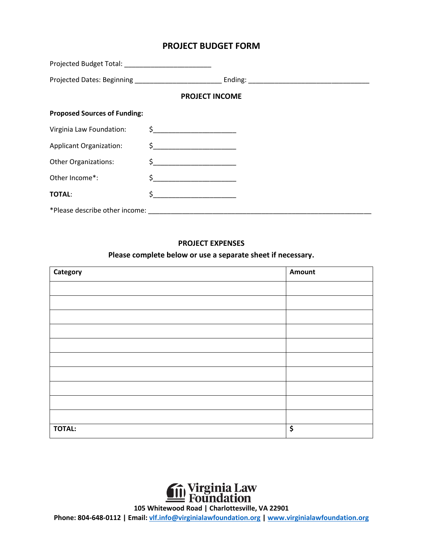## **PROJECT BUDGET FORM**

|                                     | <b>PROJECT INCOME</b>                                                                                                                                                                                                                                                                                                                                               |  |
|-------------------------------------|---------------------------------------------------------------------------------------------------------------------------------------------------------------------------------------------------------------------------------------------------------------------------------------------------------------------------------------------------------------------|--|
| <b>Proposed Sources of Funding:</b> |                                                                                                                                                                                                                                                                                                                                                                     |  |
| Virginia Law Foundation:            | $\begin{picture}(20,10) \put(0,0){\vector(1,0){100}} \put(15,0){\vector(1,0){100}} \put(15,0){\vector(1,0){100}} \put(15,0){\vector(1,0){100}} \put(15,0){\vector(1,0){100}} \put(15,0){\vector(1,0){100}} \put(15,0){\vector(1,0){100}} \put(15,0){\vector(1,0){100}} \put(15,0){\vector(1,0){100}} \put(15,0){\vector(1,0){100}} \put(15,0){\vector(1,0){100}} \$ |  |
| <b>Applicant Organization:</b>      | $\begin{picture}(20,10) \put(0,0){\line(1,0){10}} \put(15,0){\line(1,0){10}} \put(15,0){\line(1,0){10}} \put(15,0){\line(1,0){10}} \put(15,0){\line(1,0){10}} \put(15,0){\line(1,0){10}} \put(15,0){\line(1,0){10}} \put(15,0){\line(1,0){10}} \put(15,0){\line(1,0){10}} \put(15,0){\line(1,0){10}} \put(15,0){\line(1,0){10}} \put(15,0){\line(1$                 |  |
| <b>Other Organizations:</b>         | $\begin{picture}(20,10) \put(0,0){\line(1,0){10}} \put(15,0){\line(1,0){10}} \put(15,0){\line(1,0){10}} \put(15,0){\line(1,0){10}} \put(15,0){\line(1,0){10}} \put(15,0){\line(1,0){10}} \put(15,0){\line(1,0){10}} \put(15,0){\line(1,0){10}} \put(15,0){\line(1,0){10}} \put(15,0){\line(1,0){10}} \put(15,0){\line(1,0){10}} \put(15,0){\line(1$                 |  |
| Other Income*:                      | $\begin{picture}(20,10) \put(0,0){\line(1,0){10}} \put(15,0){\line(1,0){10}} \put(15,0){\line(1,0){10}} \put(15,0){\line(1,0){10}} \put(15,0){\line(1,0){10}} \put(15,0){\line(1,0){10}} \put(15,0){\line(1,0){10}} \put(15,0){\line(1,0){10}} \put(15,0){\line(1,0){10}} \put(15,0){\line(1,0){10}} \put(15,0){\line(1,0){10}} \put(15,0){\line(1$                 |  |
| <b>TOTAL:</b>                       |                                                                                                                                                                                                                                                                                                                                                                     |  |
| *Please describe other income:      |                                                                                                                                                                                                                                                                                                                                                                     |  |

### **PROJECT EXPENSES**

## **Please complete below or use a separate sheet if necessary.**

| Category      | Amount |
|---------------|--------|
|               |        |
|               |        |
|               |        |
|               |        |
|               |        |
|               |        |
|               |        |
|               |        |
|               |        |
|               |        |
| <b>TOTAL:</b> | \$     |



**105 Whitewood Road | Charlottesville, VA 22901**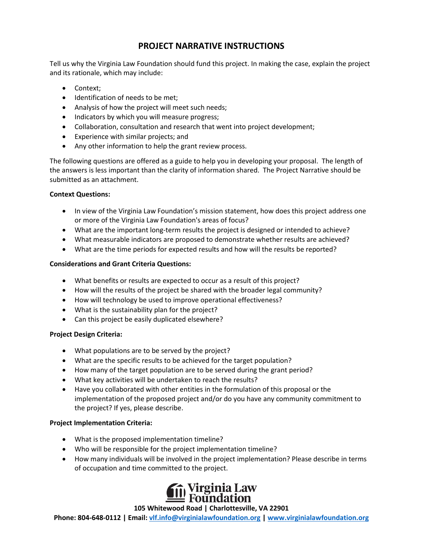## **PROJECT NARRATIVE INSTRUCTIONS**

Tell us why the Virginia Law Foundation should fund this project. In making the case, explain the project and its rationale, which may include:

- Context;
- Identification of needs to be met;
- Analysis of how the project will meet such needs;
- Indicators by which you will measure progress;
- Collaboration, consultation and research that went into project development;
- Experience with similar projects; and
- Any other information to help the grant review process.

The following questions are offered as a guide to help you in developing your proposal. The length of the answers is less important than the clarity of information shared. The Project Narrative should be submitted as an attachment.

### **Context Questions:**

- In view of the Virginia Law Foundation's mission statement, how does this project address one or more of the Virginia Law Foundation's areas of focus?
- What are the important long-term results the project is designed or intended to achieve?
- What measurable indicators are proposed to demonstrate whether results are achieved?
- What are the time periods for expected results and how will the results be reported?

## **Considerations and Grant Criteria Questions:**

- What benefits or results are expected to occur as a result of this project?
- How will the results of the project be shared with the broader legal community?
- How will technology be used to improve operational effectiveness?
- What is the sustainability plan for the project?
- Can this project be easily duplicated elsewhere?

## **Project Design Criteria:**

- What populations are to be served by the project?
- What are the specific results to be achieved for the target population?
- How many of the target population are to be served during the grant period?
- What key activities will be undertaken to reach the results?
- Have you collaborated with other entities in the formulation of this proposal or the implementation of the proposed project and/or do you have any community commitment to the project? If yes, please describe.

#### **Project Implementation Criteria:**

- What is the proposed implementation timeline?
- Who will be responsible for the project implementation timeline?
- How many individuals will be involved in the project implementation? Please describe in terms of occupation and time committed to the project.



#### **105 Whitewood Road | Charlottesville, VA 22901**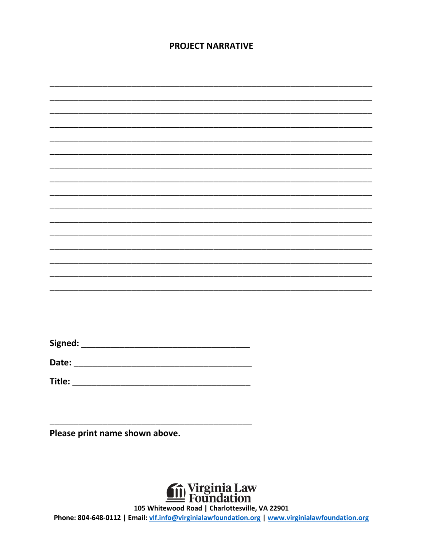## **PROJECT NARRATIVE**

| <b>Date:</b> |  |  |  |  |  |
|--------------|--|--|--|--|--|
|              |  |  |  |  |  |
|              |  |  |  |  |  |
|              |  |  |  |  |  |

Please print name shown above.



105 Whitewood Road | Charlottesville, VA 22901